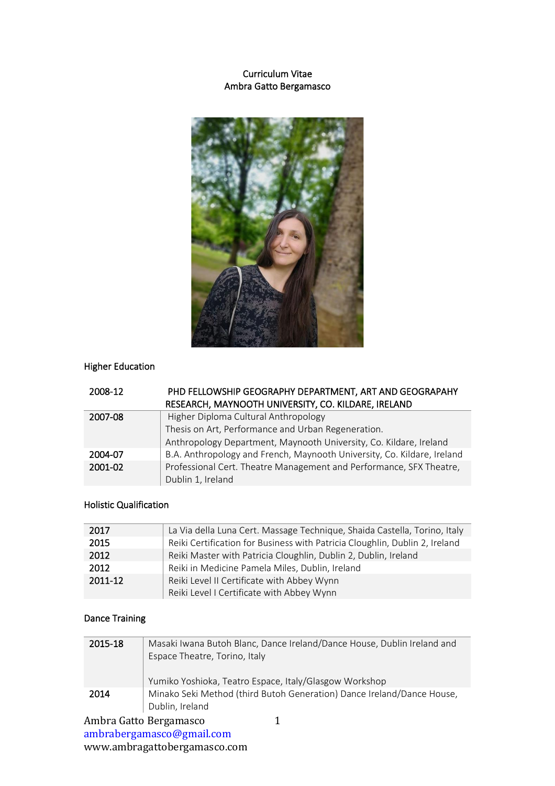### Curriculum Vitae Ambra Gatto Bergamasco



# Higher Education

| 2008-12 | PHD FELLOWSHIP GEOGRAPHY DEPARTMENT, ART AND GEOGRAPAHY<br>RESEARCH, MAYNOOTH UNIVERSITY, CO. KILDARE, IRELAND |
|---------|----------------------------------------------------------------------------------------------------------------|
| 2007-08 | Higher Diploma Cultural Anthropology                                                                           |
|         | Thesis on Art, Performance and Urban Regeneration.                                                             |
|         | Anthropology Department, Maynooth University, Co. Kildare, Ireland                                             |
| 2004-07 | B.A. Anthropology and French, Maynooth University, Co. Kildare, Ireland                                        |
| 2001-02 | Professional Cert. Theatre Management and Performance, SFX Theatre,                                            |
|         | Dublin 1, Ireland                                                                                              |

### Holistic Qualification

| La Via della Luna Cert. Massage Technique, Shaida Castella, Torino, Italy   |
|-----------------------------------------------------------------------------|
| Reiki Certification for Business with Patricia Cloughlin, Dublin 2, Ireland |
| Reiki Master with Patricia Cloughlin, Dublin 2, Dublin, Ireland             |
| Reiki in Medicine Pamela Miles, Dublin, Ireland                             |
| Reiki Level II Certificate with Abbey Wynn                                  |
| Reiki Level I Certificate with Abbey Wynn                                   |
|                                                                             |

# Dance Training

| 2015-18 | Masaki Iwana Butoh Blanc, Dance Ireland/Dance House, Dublin Ireland and<br>Espace Theatre, Torino, Italy |
|---------|----------------------------------------------------------------------------------------------------------|
|         | Yumiko Yoshioka, Teatro Espace, Italy/Glasgow Workshop                                                   |
| 2014    | Minako Seki Method (third Butoh Generation) Dance Ireland/Dance House,<br>Dublin, Ireland                |

Ambra Gatto Bergamasco [ambrabergamasco@gmail.com](mailto:ambrabergamasco@gmail.com) www.ambragattobergamasco.com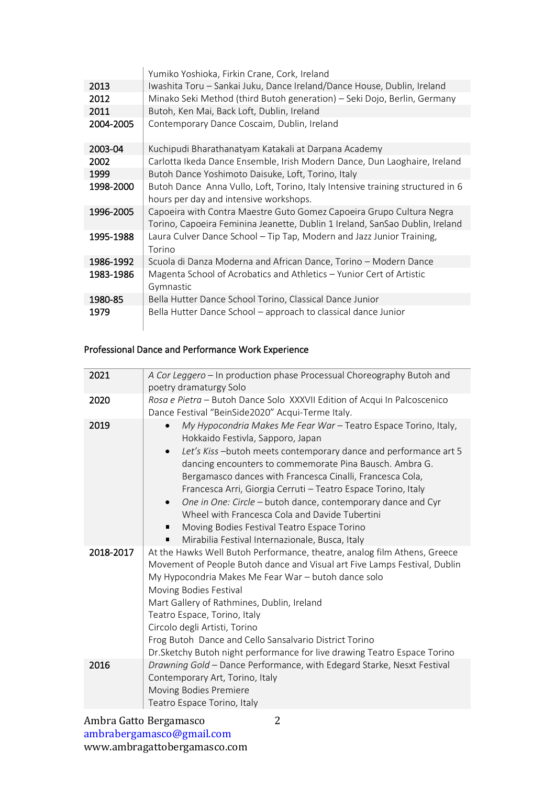|           | Yumiko Yoshioka, Firkin Crane, Cork, Ireland                                   |
|-----------|--------------------------------------------------------------------------------|
| 2013      | Iwashita Toru - Sankai Juku, Dance Ireland/Dance House, Dublin, Ireland        |
| 2012      | Minako Seki Method (third Butoh generation) - Seki Dojo, Berlin, Germany       |
| 2011      | Butoh, Ken Mai, Back Loft, Dublin, Ireland                                     |
| 2004-2005 | Contemporary Dance Coscaim, Dublin, Ireland                                    |
| 2003-04   | Kuchipudi Bharathanatyam Katakali at Darpana Academy                           |
| 2002      | Carlotta Ikeda Dance Ensemble, Irish Modern Dance, Dun Laoghaire, Ireland      |
| 1999      | Butoh Dance Yoshimoto Daisuke, Loft, Torino, Italy                             |
| 1998-2000 | Butoh Dance Anna Vullo, Loft, Torino, Italy Intensive training structured in 6 |
|           | hours per day and intensive workshops.                                         |
| 1996-2005 | Capoeira with Contra Maestre Guto Gomez Capoeira Grupo Cultura Negra           |
|           | Torino, Capoeira Feminina Jeanette, Dublin 1 Ireland, SanSao Dublin, Ireland   |
| 1995-1988 | Laura Culver Dance School - Tip Tap, Modern and Jazz Junior Training,          |
|           | Torino                                                                         |
| 1986-1992 | Scuola di Danza Moderna and African Dance, Torino - Modern Dance               |
| 1983-1986 | Magenta School of Acrobatics and Athletics - Yunior Cert of Artistic           |
|           | Gymnastic                                                                      |
| 1980-85   | Bella Hutter Dance School Torino, Classical Dance Junior                       |
| 1979      | Bella Hutter Dance School – approach to classical dance Junior                 |

#### Professional Dance and Performance Work Experience

| 2021      | A Cor Leggero - In production phase Processual Choreography Butoh and<br>poetry dramaturgy Solo                                                                                                                                                                                                                                                                                                                                                                                                                                                                                                                          |
|-----------|--------------------------------------------------------------------------------------------------------------------------------------------------------------------------------------------------------------------------------------------------------------------------------------------------------------------------------------------------------------------------------------------------------------------------------------------------------------------------------------------------------------------------------------------------------------------------------------------------------------------------|
| 2020      | Rosa e Pietra - Butoh Dance Solo XXXVII Edition of Acqui In Palcoscenico<br>Dance Festival "BeinSide2020" Acqui-Terme Italy.                                                                                                                                                                                                                                                                                                                                                                                                                                                                                             |
| 2019      | My Hypocondria Makes Me Fear War - Teatro Espace Torino, Italy,<br>Hokkaido Festivla, Sapporo, Japan<br>Let's Kiss-butoh meets contemporary dance and performance art 5<br>$\bullet$<br>dancing encounters to commemorate Pina Bausch. Ambra G.<br>Bergamasco dances with Francesca Cinalli, Francesca Cola,<br>Francesca Arri, Giorgia Cerruti - Teatro Espace Torino, Italy<br>One in One: Circle - butoh dance, contemporary dance and Cyr<br>$\bullet$<br>Wheel with Francesca Cola and Davide Tubertini<br>Moving Bodies Festival Teatro Espace Torino<br>٠<br>Mirabilia Festival Internazionale, Busca, Italy<br>٠ |
| 2018-2017 | At the Hawks Well Butoh Performance, theatre, analog film Athens, Greece<br>Movement of People Butoh dance and Visual art Five Lamps Festival, Dublin<br>My Hypocondria Makes Me Fear War - butoh dance solo<br>Moving Bodies Festival<br>Mart Gallery of Rathmines, Dublin, Ireland<br>Teatro Espace, Torino, Italy<br>Circolo degli Artisti, Torino<br>Frog Butoh Dance and Cello Sansalvario District Torino<br>Dr. Sketchy Butoh night performance for live drawing Teatro Espace Torino                                                                                                                             |
| 2016      | Drawning Gold - Dance Performance, with Edegard Starke, Nesxt Festival<br>Contemporary Art, Torino, Italy<br>Moving Bodies Premiere<br>Teatro Espace Torino, Italy                                                                                                                                                                                                                                                                                                                                                                                                                                                       |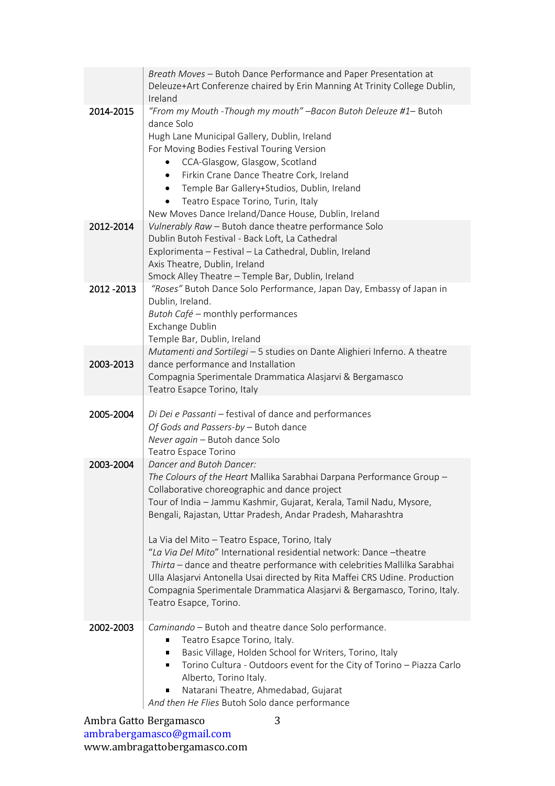|           | Breath Moves - Butoh Dance Performance and Paper Presentation at<br>Deleuze+Art Conferenze chaired by Erin Manning At Trinity College Dublin,<br>Ireland                                                                                                                                                                                                                                                                                                                                                                                                                                                                                                                             |
|-----------|--------------------------------------------------------------------------------------------------------------------------------------------------------------------------------------------------------------------------------------------------------------------------------------------------------------------------------------------------------------------------------------------------------------------------------------------------------------------------------------------------------------------------------------------------------------------------------------------------------------------------------------------------------------------------------------|
| 2014-2015 | "From my Mouth - Though my mouth" - Bacon Butoh Deleuze #1- Butoh<br>dance Solo<br>Hugh Lane Municipal Gallery, Dublin, Ireland<br>For Moving Bodies Festival Touring Version<br>CCA-Glasgow, Glasgow, Scotland<br>Firkin Crane Dance Theatre Cork, Ireland<br>$\bullet$<br>Temple Bar Gallery+Studios, Dublin, Ireland<br>$\bullet$<br>Teatro Espace Torino, Turin, Italy<br>New Moves Dance Ireland/Dance House, Dublin, Ireland                                                                                                                                                                                                                                                   |
| 2012-2014 | Vulnerably Raw - Butoh dance theatre performance Solo<br>Dublin Butoh Festival - Back Loft, La Cathedral<br>Explorimenta - Festival - La Cathedral, Dublin, Ireland<br>Axis Theatre, Dublin, Ireland<br>Smock Alley Theatre - Temple Bar, Dublin, Ireland                                                                                                                                                                                                                                                                                                                                                                                                                            |
| 2012-2013 | "Roses" Butoh Dance Solo Performance, Japan Day, Embassy of Japan in<br>Dublin, Ireland.<br>Butoh Café - monthly performances<br>Exchange Dublin<br>Temple Bar, Dublin, Ireland                                                                                                                                                                                                                                                                                                                                                                                                                                                                                                      |
| 2003-2013 | Mutamenti and Sortilegi - 5 studies on Dante Alighieri Inferno. A theatre<br>dance performance and Installation<br>Compagnia Sperimentale Drammatica Alasjarvi & Bergamasco<br>Teatro Esapce Torino, Italy                                                                                                                                                                                                                                                                                                                                                                                                                                                                           |
| 2005-2004 | Di Dei e Passanti - festival of dance and performances<br>Of Gods and Passers-by - Butoh dance<br>Never again - Butoh dance Solo<br>Teatro Espace Torino                                                                                                                                                                                                                                                                                                                                                                                                                                                                                                                             |
| 2003-2004 | Dancer and Butoh Dancer:<br>The Colours of the Heart Mallika Sarabhai Darpana Performance Group -<br>Collaborative choreographic and dance project<br>Tour of India - Jammu Kashmir, Gujarat, Kerala, Tamil Nadu, Mysore,<br>Bengali, Rajastan, Uttar Pradesh, Andar Pradesh, Maharashtra<br>La Via del Mito - Teatro Espace, Torino, Italy<br>"La Via Del Mito" International residential network: Dance -theatre<br>Thirta - dance and theatre performance with celebrities Mallilka Sarabhai<br>Ulla Alasjarvi Antonella Usai directed by Rita Maffei CRS Udine. Production<br>Compagnia Sperimentale Drammatica Alasjarvi & Bergamasco, Torino, Italy.<br>Teatro Esapce, Torino. |
| 2002-2003 | Caminando - Butoh and theatre dance Solo performance.<br>Teatro Esapce Torino, Italy.<br>Basic Village, Holden School for Writers, Torino, Italy<br>п<br>Torino Cultura - Outdoors event for the City of Torino - Piazza Carlo<br>п<br>Alberto, Torino Italy.<br>Natarani Theatre, Ahmedabad, Gujarat<br>п<br>And then He Flies Butoh Solo dance performance                                                                                                                                                                                                                                                                                                                         |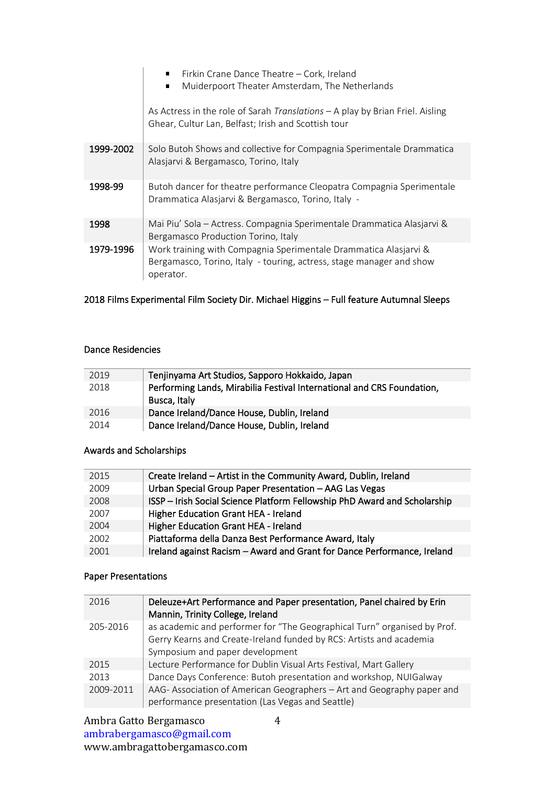|           | Firkin Crane Dance Theatre - Cork, Ireland<br>Muiderpoort Theater Amsterdam, The Netherlands<br>$\blacksquare$                                        |
|-----------|-------------------------------------------------------------------------------------------------------------------------------------------------------|
|           | As Actress in the role of Sarah Translations - A play by Brian Friel. Aisling<br>Ghear, Cultur Lan, Belfast; Irish and Scottish tour                  |
| 1999-2002 | Solo Butoh Shows and collective for Compagnia Sperimentale Drammatica<br>Alasjarvi & Bergamasco, Torino, Italy                                        |
| 1998-99   | Butoh dancer for theatre performance Cleopatra Compagnia Sperimentale<br>Drammatica Alasjarvi & Bergamasco, Torino, Italy -                           |
| 1998      | Mai Piu' Sola – Actress. Compagnia Sperimentale Drammatica Alasjarvi &<br>Bergamasco Production Torino, Italy                                         |
| 1979-1996 | Work training with Compagnia Sperimentale Drammatica Alasjarvi &<br>Bergamasco, Torino, Italy - touring, actress, stage manager and show<br>operator. |

# 2018 Films Experimental Film Society Dir. Michael Higgins – Full feature Autumnal Sleeps

#### Dance Residencies

| 2019 | Tenjinyama Art Studios, Sapporo Hokkaido, Japan                        |
|------|------------------------------------------------------------------------|
| 2018 | Performing Lands, Mirabilia Festival International and CRS Foundation, |
|      | Busca, Italy                                                           |
| 2016 | Dance Ireland/Dance House, Dublin, Ireland                             |
| 2014 | Dance Ireland/Dance House, Dublin, Ireland                             |

# Awards and Scholarships

| 2015 | Create Ireland - Artist in the Community Award, Dublin, Ireland           |
|------|---------------------------------------------------------------------------|
| 2009 | Urban Special Group Paper Presentation - AAG Las Vegas                    |
| 2008 | ISSP - Irish Social Science Platform Fellowship PhD Award and Scholarship |
| 2007 | Higher Education Grant HEA - Ireland                                      |
| 2004 | Higher Education Grant HEA - Ireland                                      |
| 2002 | Piattaforma della Danza Best Performance Award, Italy                     |
| 2001 | Ireland against Racism - Award and Grant for Dance Performance, Ireland   |
|      |                                                                           |

## Paper Presentations

| 2016      | Deleuze+Art Performance and Paper presentation, Panel chaired by Erin<br>Mannin, Trinity College, Ireland                                                                          |
|-----------|------------------------------------------------------------------------------------------------------------------------------------------------------------------------------------|
| 205-2016  | as academic and performer for "The Geographical Turn" organised by Prof.<br>Gerry Kearns and Create-Ireland funded by RCS: Artists and academia<br>Symposium and paper development |
| 2015      | Lecture Performance for Dublin Visual Arts Festival, Mart Gallery                                                                                                                  |
| 2013      | Dance Days Conference: Butoh presentation and workshop, NUIGalway                                                                                                                  |
| 2009-2011 | AAG-Association of American Geographers - Art and Geography paper and<br>performance presentation (Las Vegas and Seattle)                                                          |